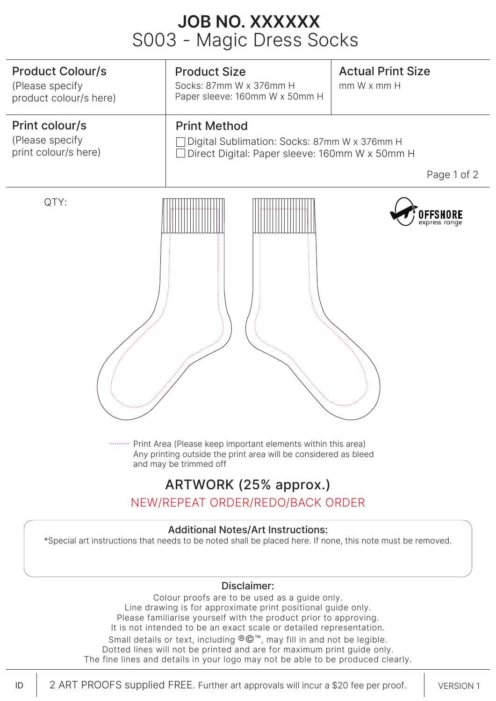# S003 - Magic Dress Socks **JOB NO. XXXXXX**



### ARTWORK (25% approx.)

NEW/REPEAT ORDER/REDO/BACK ORDER

### Additional Notes/Art Instructions:

\*Special art instructions that needs to be noted shall be placed here. If none, this note must be removed.

#### Disclaimer:

Colour proofs are to be used as a quide only. Line drawing is for approximate print positional guide only. Please familiarise yourself with the product prior to approving. It is not intended to be an exact scale or detailed representation. Small details or text, including ®©™, may fill in and not be legible.

Dotted lines will not be printed and are for maximum print guide only. The fine lines and details in your logo may not be able to be produced clearly.